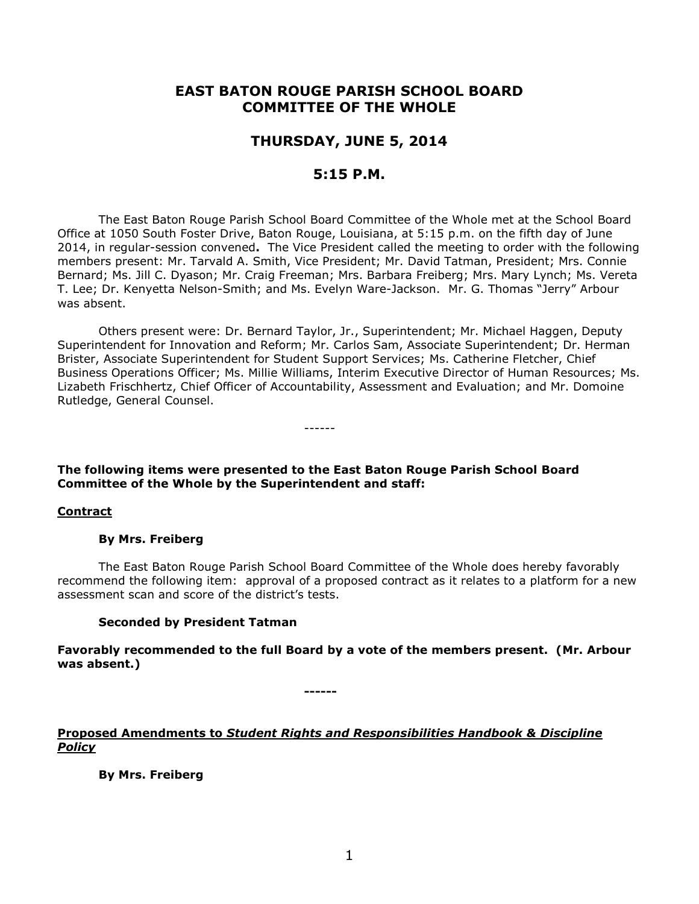# **EAST BATON ROUGE PARISH SCHOOL BOARD COMMITTEE OF THE WHOLE**

# **THURSDAY, JUNE 5, 2014**

# **5:15 P.M.**

The East Baton Rouge Parish School Board Committee of the Whole met at the School Board Office at 1050 South Foster Drive, Baton Rouge, Louisiana, at 5:15 p.m. on the fifth day of June 2014, in regular-session convened**.** The Vice President called the meeting to order with the following members present: Mr. Tarvald A. Smith, Vice President; Mr. David Tatman, President; Mrs. Connie Bernard; Ms. Jill C. Dyason; Mr. Craig Freeman; Mrs. Barbara Freiberg; Mrs. Mary Lynch; Ms. Vereta T. Lee; Dr. Kenyetta Nelson-Smith; and Ms. Evelyn Ware-Jackson. Mr. G. Thomas "Jerry" Arbour was absent.

Others present were: Dr. Bernard Taylor, Jr., Superintendent; Mr. Michael Haggen, Deputy Superintendent for Innovation and Reform; Mr. Carlos Sam, Associate Superintendent; Dr. Herman Brister, Associate Superintendent for Student Support Services; Ms. Catherine Fletcher, Chief Business Operations Officer; Ms. Millie Williams, Interim Executive Director of Human Resources; Ms. Lizabeth Frischhertz, Chief Officer of Accountability, Assessment and Evaluation; and Mr. Domoine Rutledge, General Counsel.

------

# **The following items were presented to the East Baton Rouge Parish School Board Committee of the Whole by the Superintendent and staff:**

# **Contract**

#### **By Mrs. Freiberg**

The East Baton Rouge Parish School Board Committee of the Whole does hereby favorably recommend the following item: approval of a proposed contract as it relates to a platform for a new assessment scan and score of the district's tests.

# **Seconded by President Tatman**

**Favorably recommended to the full Board by a vote of the members present. (Mr. Arbour was absent.)**

**------**

# **Proposed Amendments to** *Student Rights and Responsibilities Handbook & Discipline Policy*

**By Mrs. Freiberg**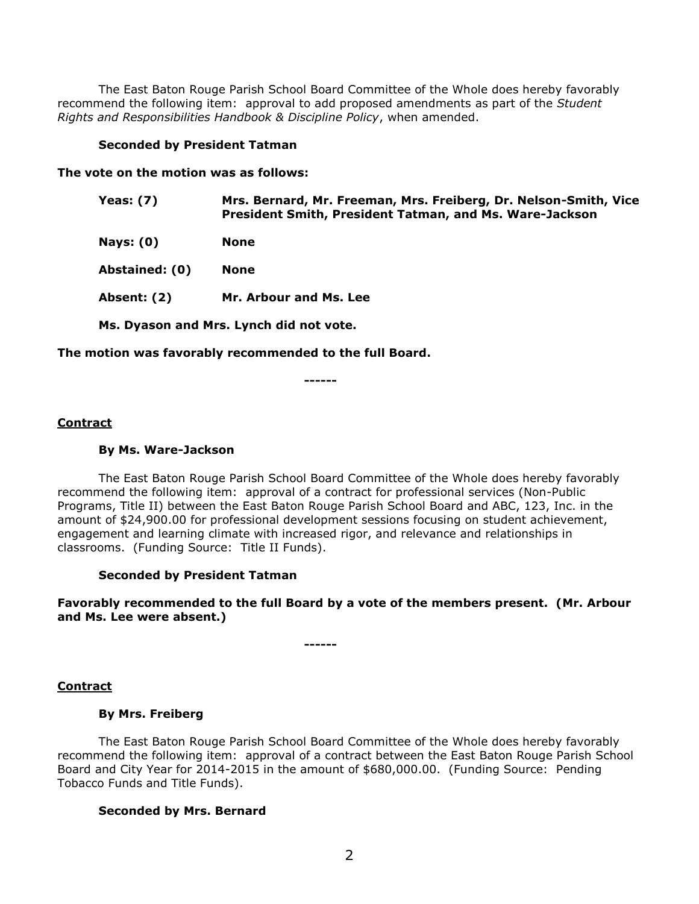The East Baton Rouge Parish School Board Committee of the Whole does hereby favorably recommend the following item: approval to add proposed amendments as part of the *Student Rights and Responsibilities Handbook & Discipline Policy*, when amended.

## **Seconded by President Tatman**

**The vote on the motion was as follows:**

**Yeas: (7) Mrs. Bernard, Mr. Freeman, Mrs. Freiberg, Dr. Nelson-Smith, Vice President Smith, President Tatman, and Ms. Ware-Jackson**

**Nays: (0) None**

**Abstained: (0) None**

**Absent: (2) Mr. Arbour and Ms. Lee**

**Ms. Dyason and Mrs. Lynch did not vote.**

**The motion was favorably recommended to the full Board.**

**------**

### **Contract**

### **By Ms. Ware-Jackson**

The East Baton Rouge Parish School Board Committee of the Whole does hereby favorably recommend the following item: approval of a contract for professional services (Non-Public Programs, Title II) between the East Baton Rouge Parish School Board and ABC, 123, Inc. in the amount of \$24,900.00 for professional development sessions focusing on student achievement, engagement and learning climate with increased rigor, and relevance and relationships in classrooms. (Funding Source: Title II Funds).

#### **Seconded by President Tatman**

**Favorably recommended to the full Board by a vote of the members present. (Mr. Arbour and Ms. Lee were absent.)**

**------**

# **Contract**

# **By Mrs. Freiberg**

The East Baton Rouge Parish School Board Committee of the Whole does hereby favorably recommend the following item: approval of a contract between the East Baton Rouge Parish School Board and City Year for 2014-2015 in the amount of \$680,000.00. (Funding Source: Pending Tobacco Funds and Title Funds).

# **Seconded by Mrs. Bernard**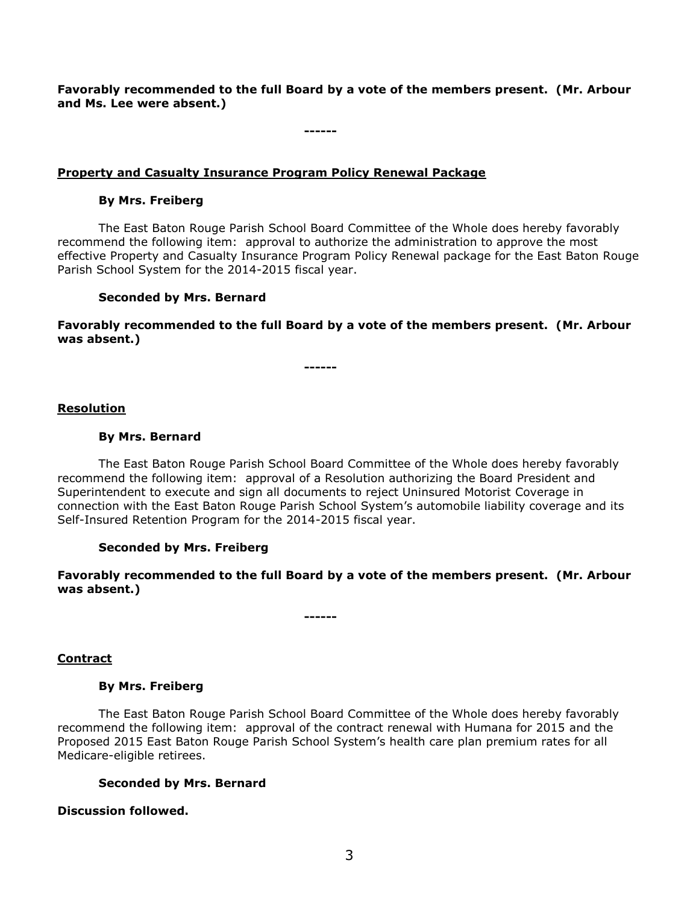**Favorably recommended to the full Board by a vote of the members present. (Mr. Arbour and Ms. Lee were absent.)**

**------**

# **Property and Casualty Insurance Program Policy Renewal Package**

# **By Mrs. Freiberg**

The East Baton Rouge Parish School Board Committee of the Whole does hereby favorably recommend the following item: approval to authorize the administration to approve the most effective Property and Casualty Insurance Program Policy Renewal package for the East Baton Rouge Parish School System for the 2014-2015 fiscal year.

# **Seconded by Mrs. Bernard**

**Favorably recommended to the full Board by a vote of the members present. (Mr. Arbour was absent.)**

**------**

### **Resolution**

# **By Mrs. Bernard**

The East Baton Rouge Parish School Board Committee of the Whole does hereby favorably recommend the following item: approval of a Resolution authorizing the Board President and Superintendent to execute and sign all documents to reject Uninsured Motorist Coverage in connection with the East Baton Rouge Parish School System's automobile liability coverage and its Self-Insured Retention Program for the 2014-2015 fiscal year.

# **Seconded by Mrs. Freiberg**

**Favorably recommended to the full Board by a vote of the members present. (Mr. Arbour was absent.)**

**------**

# **Contract**

#### **By Mrs. Freiberg**

The East Baton Rouge Parish School Board Committee of the Whole does hereby favorably recommend the following item: approval of the contract renewal with Humana for 2015 and the Proposed 2015 East Baton Rouge Parish School System's health care plan premium rates for all Medicare-eligible retirees.

# **Seconded by Mrs. Bernard**

#### **Discussion followed.**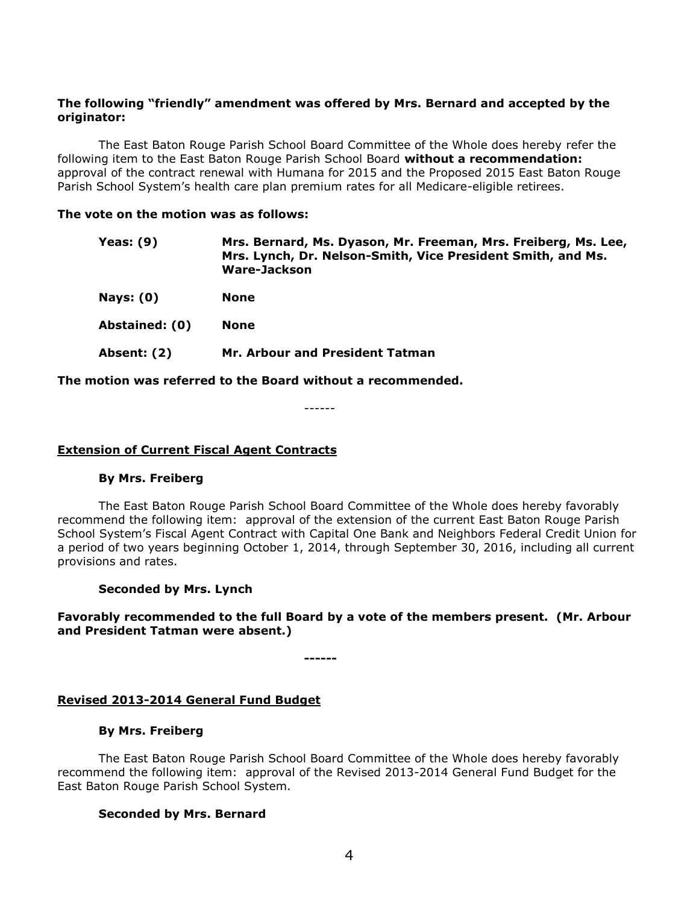## **The following "friendly" amendment was offered by Mrs. Bernard and accepted by the originator:**

The East Baton Rouge Parish School Board Committee of the Whole does hereby refer the following item to the East Baton Rouge Parish School Board **without a recommendation:**  approval of the contract renewal with Humana for 2015 and the Proposed 2015 East Baton Rouge Parish School System's health care plan premium rates for all Medicare-eligible retirees.

#### **The vote on the motion was as follows:**

| Yeas: $(9)$    | Mrs. Bernard, Ms. Dyason, Mr. Freeman, Mrs. Freiberg, Ms. Lee,<br>Mrs. Lynch, Dr. Nelson-Smith, Vice President Smith, and Ms.<br><b>Ware-Jackson</b> |
|----------------|------------------------------------------------------------------------------------------------------------------------------------------------------|
| Nays: $(0)$    | <b>None</b>                                                                                                                                          |
| Abstained: (0) | <b>None</b>                                                                                                                                          |
| Absent: (2)    | Mr. Arbour and President Tatman                                                                                                                      |

**The motion was referred to the Board without a recommended.**

------

#### **Extension of Current Fiscal Agent Contracts**

#### **By Mrs. Freiberg**

The East Baton Rouge Parish School Board Committee of the Whole does hereby favorably recommend the following item: approval of the extension of the current East Baton Rouge Parish School System's Fiscal Agent Contract with Capital One Bank and Neighbors Federal Credit Union for a period of two years beginning October 1, 2014, through September 30, 2016, including all current provisions and rates.

#### **Seconded by Mrs. Lynch**

# **Favorably recommended to the full Board by a vote of the members present. (Mr. Arbour and President Tatman were absent.)**

**------**

#### **Revised 2013-2014 General Fund Budget**

#### **By Mrs. Freiberg**

The East Baton Rouge Parish School Board Committee of the Whole does hereby favorably recommend the following item: approval of the Revised 2013-2014 General Fund Budget for the East Baton Rouge Parish School System.

#### **Seconded by Mrs. Bernard**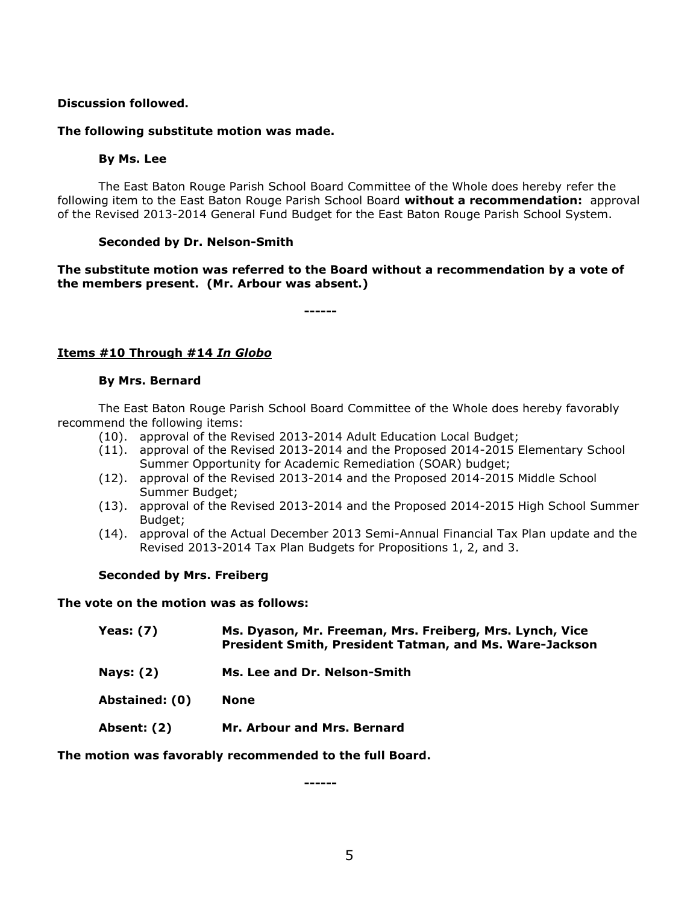# **Discussion followed.**

### **The following substitute motion was made.**

### **By Ms. Lee**

The East Baton Rouge Parish School Board Committee of the Whole does hereby refer the following item to the East Baton Rouge Parish School Board **without a recommendation:** approval of the Revised 2013-2014 General Fund Budget for the East Baton Rouge Parish School System.

# **Seconded by Dr. Nelson-Smith**

# **The substitute motion was referred to the Board without a recommendation by a vote of the members present. (Mr. Arbour was absent.)**

**------**

# **Items #10 Through #14** *In Globo*

### **By Mrs. Bernard**

The East Baton Rouge Parish School Board Committee of the Whole does hereby favorably recommend the following items:

- (10). approval of the Revised 2013-2014 Adult Education Local Budget;
- (11). approval of the Revised 2013-2014 and the Proposed 2014-2015 Elementary School Summer Opportunity for Academic Remediation (SOAR) budget;
- (12). approval of the Revised 2013-2014 and the Proposed 2014-2015 Middle School Summer Budget;
- (13). approval of the Revised 2013-2014 and the Proposed 2014-2015 High School Summer Budget;
- (14). approval of the Actual December 2013 Semi-Annual Financial Tax Plan update and the Revised 2013-2014 Tax Plan Budgets for Propositions 1, 2, and 3.

# **Seconded by Mrs. Freiberg**

**The vote on the motion was as follows:**

| Yeas: (7)          | Ms. Dyason, Mr. Freeman, Mrs. Freiberg, Mrs. Lynch, Vice<br><b>President Smith, President Tatman, and Ms. Ware-Jackson</b> |
|--------------------|----------------------------------------------------------------------------------------------------------------------------|
| <b>Nays: (2)</b>   | Ms. Lee and Dr. Nelson-Smith                                                                                               |
| Abstained: (0)     | None                                                                                                                       |
| <b>Absent: (2)</b> | Mr. Arbour and Mrs. Bernard                                                                                                |

**The motion was favorably recommended to the full Board.**

**------**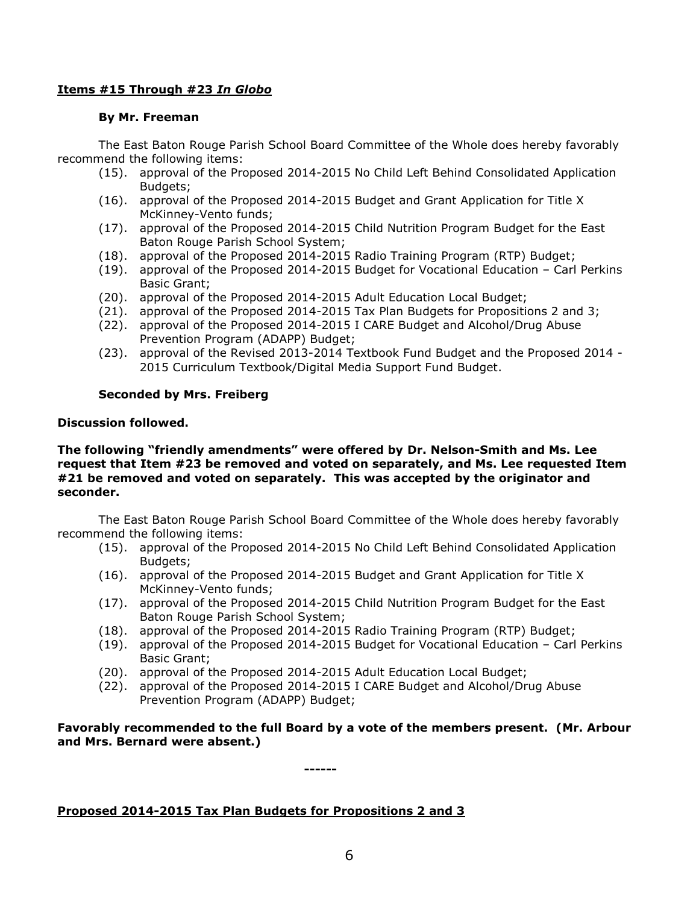# **Items #15 Through #23** *In Globo*

# **By Mr. Freeman**

The East Baton Rouge Parish School Board Committee of the Whole does hereby favorably recommend the following items:

- (15). approval of the Proposed 2014-2015 No Child Left Behind Consolidated Application Budgets;
- (16). approval of the Proposed 2014-2015 Budget and Grant Application for Title X McKinney-Vento funds;
- (17). approval of the Proposed 2014-2015 Child Nutrition Program Budget for the East Baton Rouge Parish School System;
- (18). approval of the Proposed 2014-2015 Radio Training Program (RTP) Budget;
- (19). approval of the Proposed 2014-2015 Budget for Vocational Education Carl Perkins Basic Grant;
- (20). approval of the Proposed 2014-2015 Adult Education Local Budget;
- (21). approval of the Proposed 2014-2015 Tax Plan Budgets for Propositions 2 and 3;
- (22). approval of the Proposed 2014-2015 I CARE Budget and Alcohol/Drug Abuse Prevention Program (ADAPP) Budget;
- (23). approval of the Revised 2013-2014 Textbook Fund Budget and the Proposed 2014 2015 Curriculum Textbook/Digital Media Support Fund Budget.

# **Seconded by Mrs. Freiberg**

# **Discussion followed.**

## **The following "friendly amendments" were offered by Dr. Nelson-Smith and Ms. Lee request that Item #23 be removed and voted on separately, and Ms. Lee requested Item #21 be removed and voted on separately. This was accepted by the originator and seconder.**

The East Baton Rouge Parish School Board Committee of the Whole does hereby favorably recommend the following items:

- (15). approval of the Proposed 2014-2015 No Child Left Behind Consolidated Application Budgets:
- (16). approval of the Proposed 2014-2015 Budget and Grant Application for Title X McKinney-Vento funds;
- (17). approval of the Proposed 2014-2015 Child Nutrition Program Budget for the East Baton Rouge Parish School System;
- (18). approval of the Proposed 2014-2015 Radio Training Program (RTP) Budget;
- (19). approval of the Proposed 2014-2015 Budget for Vocational Education Carl Perkins Basic Grant;
- (20). approval of the Proposed 2014-2015 Adult Education Local Budget;
- (22). approval of the Proposed 2014-2015 I CARE Budget and Alcohol/Drug Abuse Prevention Program (ADAPP) Budget;

# **Favorably recommended to the full Board by a vote of the members present. (Mr. Arbour and Mrs. Bernard were absent.)**

**------**

# **Proposed 2014-2015 Tax Plan Budgets for Propositions 2 and 3**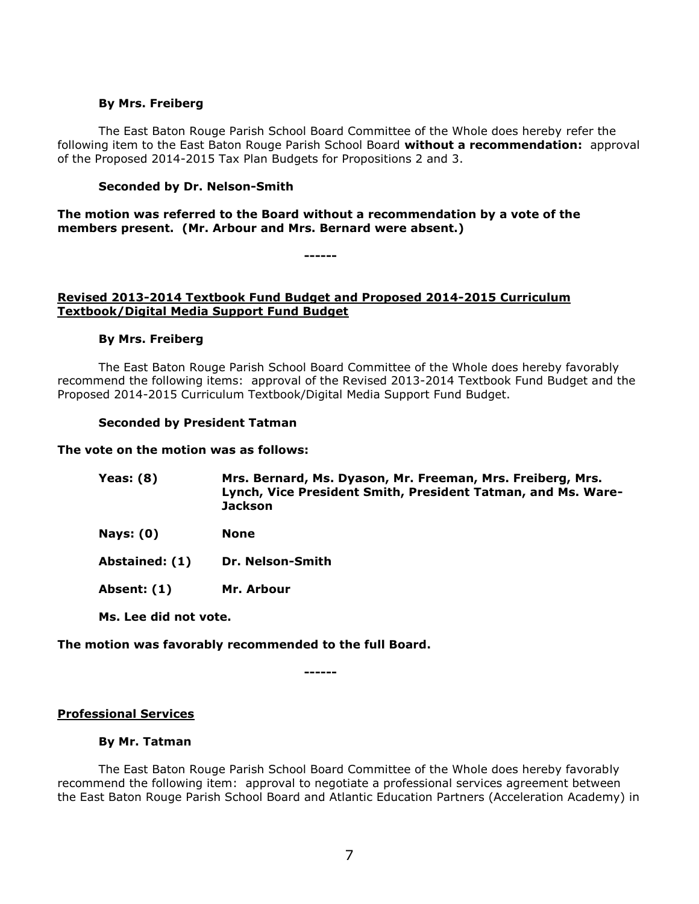### **By Mrs. Freiberg**

The East Baton Rouge Parish School Board Committee of the Whole does hereby refer the following item to the East Baton Rouge Parish School Board **without a recommendation:** approval of the Proposed 2014-2015 Tax Plan Budgets for Propositions 2 and 3.

## **Seconded by Dr. Nelson-Smith**

**The motion was referred to the Board without a recommendation by a vote of the members present. (Mr. Arbour and Mrs. Bernard were absent.)** 

**------**

# **Revised 2013-2014 Textbook Fund Budget and Proposed 2014-2015 Curriculum Textbook/Digital Media Support Fund Budget**

## **By Mrs. Freiberg**

The East Baton Rouge Parish School Board Committee of the Whole does hereby favorably recommend the following items: approval of the Revised 2013-2014 Textbook Fund Budget and the Proposed 2014-2015 Curriculum Textbook/Digital Media Support Fund Budget.

#### **Seconded by President Tatman**

# **The vote on the motion was as follows:**

| <b>Yeas: (8)</b> | Mrs. Bernard, Ms. Dyason, Mr. Freeman, Mrs. Freiberg, Mrs.   |
|------------------|--------------------------------------------------------------|
|                  | Lynch, Vice President Smith, President Tatman, and Ms. Ware- |
|                  | <b>Jackson</b>                                               |

- **Nays: (0) None**
- **Abstained: (1) Dr. Nelson-Smith**

**Absent: (1) Mr. Arbour**

**Ms. Lee did not vote.**

# **The motion was favorably recommended to the full Board.**

**------**

# **Professional Services**

#### **By Mr. Tatman**

The East Baton Rouge Parish School Board Committee of the Whole does hereby favorably recommend the following item: approval to negotiate a professional services agreement between the East Baton Rouge Parish School Board and Atlantic Education Partners (Acceleration Academy) in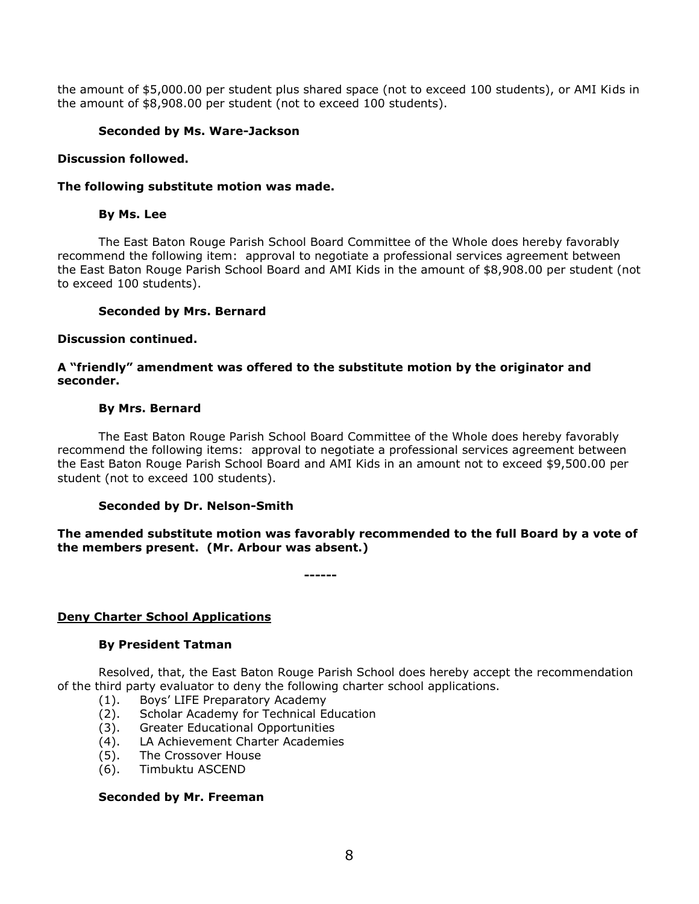the amount of \$5,000.00 per student plus shared space (not to exceed 100 students), or AMI Kids in the amount of \$8,908.00 per student (not to exceed 100 students).

# **Seconded by Ms. Ware-Jackson**

## **Discussion followed.**

### **The following substitute motion was made.**

## **By Ms. Lee**

The East Baton Rouge Parish School Board Committee of the Whole does hereby favorably recommend the following item: approval to negotiate a professional services agreement between the East Baton Rouge Parish School Board and AMI Kids in the amount of \$8,908.00 per student (not to exceed 100 students).

### **Seconded by Mrs. Bernard**

## **Discussion continued.**

# **A "friendly" amendment was offered to the substitute motion by the originator and seconder.**

## **By Mrs. Bernard**

The East Baton Rouge Parish School Board Committee of the Whole does hereby favorably recommend the following items: approval to negotiate a professional services agreement between the East Baton Rouge Parish School Board and AMI Kids in an amount not to exceed \$9,500.00 per student (not to exceed 100 students).

# **Seconded by Dr. Nelson-Smith**

**The amended substitute motion was favorably recommended to the full Board by a vote of the members present. (Mr. Arbour was absent.)**

**------**

# **Deny Charter School Applications**

#### **By President Tatman**

Resolved, that, the East Baton Rouge Parish School does hereby accept the recommendation of the third party evaluator to deny the following charter school applications.

- (1). Boys' LIFE Preparatory Academy
- (2). Scholar Academy for Technical Education
- (3). Greater Educational Opportunities
- (4). LA Achievement Charter Academies
- (5). The Crossover House
- (6). Timbuktu ASCEND

### **Seconded by Mr. Freeman**